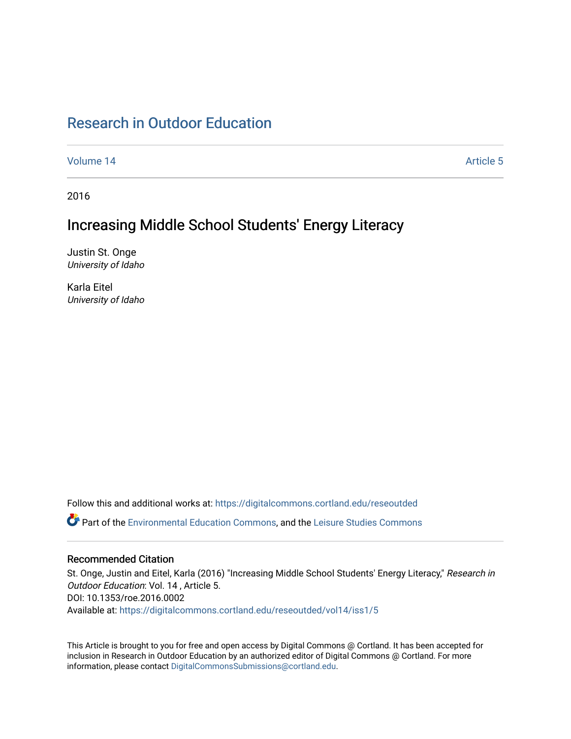# [Research in Outdoor Education](https://digitalcommons.cortland.edu/reseoutded)

[Volume 14](https://digitalcommons.cortland.edu/reseoutded/vol14) Article 5

2016

# Increasing Middle School Students' Energy Literacy

Justin St. Onge University of Idaho

Karla Eitel University of Idaho

Follow this and additional works at: [https://digitalcommons.cortland.edu/reseoutded](https://digitalcommons.cortland.edu/reseoutded?utm_source=digitalcommons.cortland.edu%2Freseoutded%2Fvol14%2Fiss1%2F5&utm_medium=PDF&utm_campaign=PDFCoverPages) Part of the [Environmental Education Commons](http://network.bepress.com/hgg/discipline/1305?utm_source=digitalcommons.cortland.edu%2Freseoutded%2Fvol14%2Fiss1%2F5&utm_medium=PDF&utm_campaign=PDFCoverPages), and the [Leisure Studies Commons](http://network.bepress.com/hgg/discipline/1197?utm_source=digitalcommons.cortland.edu%2Freseoutded%2Fvol14%2Fiss1%2F5&utm_medium=PDF&utm_campaign=PDFCoverPages) 

## Recommended Citation

St. Onge, Justin and Eitel, Karla (2016) "Increasing Middle School Students' Energy Literacy," Research in Outdoor Education: Vol. 14 , Article 5. DOI: 10.1353/roe.2016.0002 Available at: [https://digitalcommons.cortland.edu/reseoutded/vol14/iss1/5](https://digitalcommons.cortland.edu/reseoutded/vol14/iss1/5?utm_source=digitalcommons.cortland.edu%2Freseoutded%2Fvol14%2Fiss1%2F5&utm_medium=PDF&utm_campaign=PDFCoverPages) 

This Article is brought to you for free and open access by Digital Commons @ Cortland. It has been accepted for inclusion in Research in Outdoor Education by an authorized editor of Digital Commons @ Cortland. For more information, please contact [DigitalCommonsSubmissions@cortland.edu](mailto:DigitalCommonsSubmissions@cortland.edu).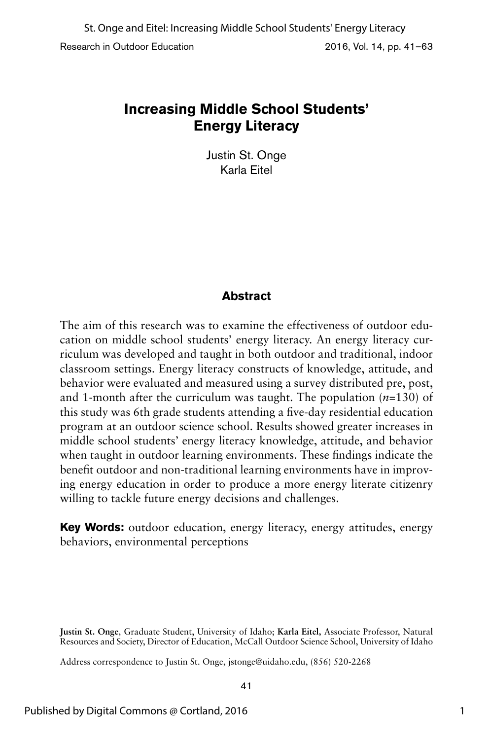Justin St. Onge Karla Eitel

# **Abstract**

The aim of this research was to examine the effectiveness of outdoor education on middle school students' energy literacy. An energy literacy curriculum was developed and taught in both outdoor and traditional, indoor classroom settings. Energy literacy constructs of knowledge, attitude, and behavior were evaluated and measured using a survey distributed pre, post, and 1-month after the curriculum was taught. The population (*n*=130) of this study was 6th grade students attending a five-day residential education program at an outdoor science school. Results showed greater increases in middle school students' energy literacy knowledge, attitude, and behavior when taught in outdoor learning environments. These findings indicate the benefit outdoor and non-traditional learning environments have in improving energy education in order to produce a more energy literate citizenry willing to tackle future energy decisions and challenges.

**Key Words:** outdoor education, energy literacy, energy attitudes, energy behaviors, environmental perceptions

**Justin St. Onge**, Graduate Student, University of Idaho; **Karla Eitel,** Associate Professor, Natural Resources and Society, Director of Education, McCall Outdoor Science School, University of Idaho

Address correspondence to Justin St. Onge, jstonge@uidaho.edu, (856) 520-2268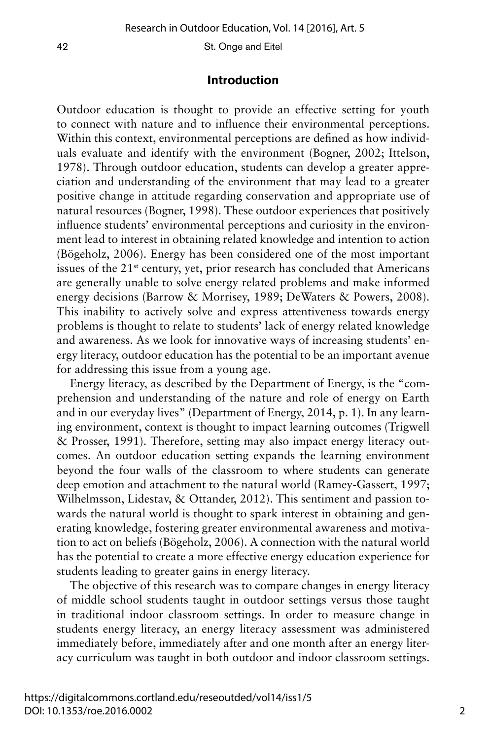## **Introduction**

Outdoor education is thought to provide an effective setting for youth to connect with nature and to influence their environmental perceptions. Within this context, environmental perceptions are defined as how individuals evaluate and identify with the environment (Bogner, 2002; Ittelson, 1978). Through outdoor education, students can develop a greater appreciation and understanding of the environment that may lead to a greater positive change in attitude regarding conservation and appropriate use of natural resources (Bogner, 1998). These outdoor experiences that positively influence students' environmental perceptions and curiosity in the environment lead to interest in obtaining related knowledge and intention to action (Bögeholz, 2006). Energy has been considered one of the most important issues of the  $21<sup>st</sup>$  century, yet, prior research has concluded that Americans are generally unable to solve energy related problems and make informed energy decisions (Barrow & Morrisey, 1989; DeWaters & Powers, 2008). This inability to actively solve and express attentiveness towards energy problems is thought to relate to students' lack of energy related knowledge and awareness. As we look for innovative ways of increasing students' energy literacy, outdoor education has the potential to be an important avenue for addressing this issue from a young age.

Energy literacy, as described by the Department of Energy, is the "comprehension and understanding of the nature and role of energy on Earth and in our everyday lives" (Department of Energy, 2014, p. 1). In any learning environment, context is thought to impact learning outcomes (Trigwell & Prosser, 1991). Therefore, setting may also impact energy literacy outcomes. An outdoor education setting expands the learning environment beyond the four walls of the classroom to where students can generate deep emotion and attachment to the natural world (Ramey-Gassert, 1997; Wilhelmsson, Lidestav, & Ottander, 2012). This sentiment and passion towards the natural world is thought to spark interest in obtaining and generating knowledge, fostering greater environmental awareness and motivation to act on beliefs (Bögeholz, 2006). A connection with the natural world has the potential to create a more effective energy education experience for students leading to greater gains in energy literacy.

The objective of this research was to compare changes in energy literacy of middle school students taught in outdoor settings versus those taught in traditional indoor classroom settings. In order to measure change in students energy literacy, an energy literacy assessment was administered immediately before, immediately after and one month after an energy literacy curriculum was taught in both outdoor and indoor classroom settings.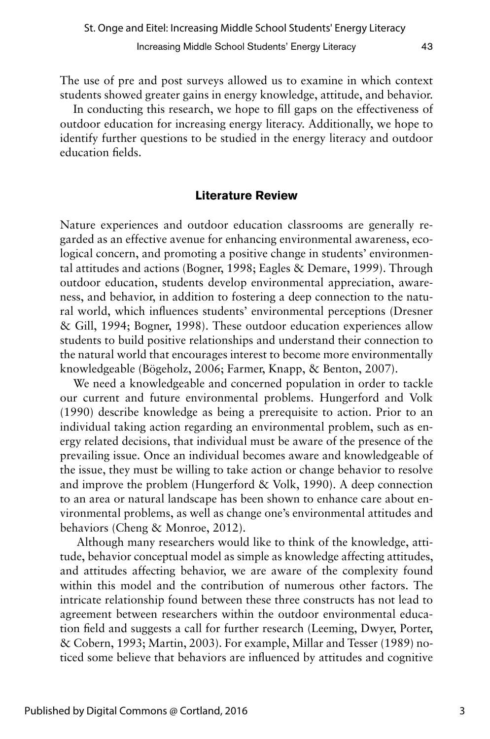The use of pre and post surveys allowed us to examine in which context students showed greater gains in energy knowledge, attitude, and behavior.

In conducting this research, we hope to fill gaps on the effectiveness of outdoor education for increasing energy literacy. Additionally, we hope to identify further questions to be studied in the energy literacy and outdoor education fields.

## **Literature Review**

Nature experiences and outdoor education classrooms are generally regarded as an effective avenue for enhancing environmental awareness, ecological concern, and promoting a positive change in students' environmental attitudes and actions (Bogner, 1998; Eagles & Demare, 1999). Through outdoor education, students develop environmental appreciation, awareness, and behavior, in addition to fostering a deep connection to the natural world, which influences students' environmental perceptions (Dresner & Gill, 1994; Bogner, 1998). These outdoor education experiences allow students to build positive relationships and understand their connection to the natural world that encourages interest to become more environmentally knowledgeable (Bögeholz, 2006; Farmer, Knapp, & Benton, 2007).

We need a knowledgeable and concerned population in order to tackle our current and future environmental problems. Hungerford and Volk (1990) describe knowledge as being a prerequisite to action. Prior to an individual taking action regarding an environmental problem, such as energy related decisions, that individual must be aware of the presence of the prevailing issue. Once an individual becomes aware and knowledgeable of the issue, they must be willing to take action or change behavior to resolve and improve the problem (Hungerford & Volk, 1990). A deep connection to an area or natural landscape has been shown to enhance care about environmental problems, as well as change one's environmental attitudes and behaviors (Cheng & Monroe, 2012).

 Although many researchers would like to think of the knowledge, attitude, behavior conceptual model as simple as knowledge affecting attitudes, and attitudes affecting behavior, we are aware of the complexity found within this model and the contribution of numerous other factors. The intricate relationship found between these three constructs has not lead to agreement between researchers within the outdoor environmental education field and suggests a call for further research (Leeming, Dwyer, Porter, & Cobern, 1993; Martin, 2003). For example, Millar and Tesser (1989) noticed some believe that behaviors are influenced by attitudes and cognitive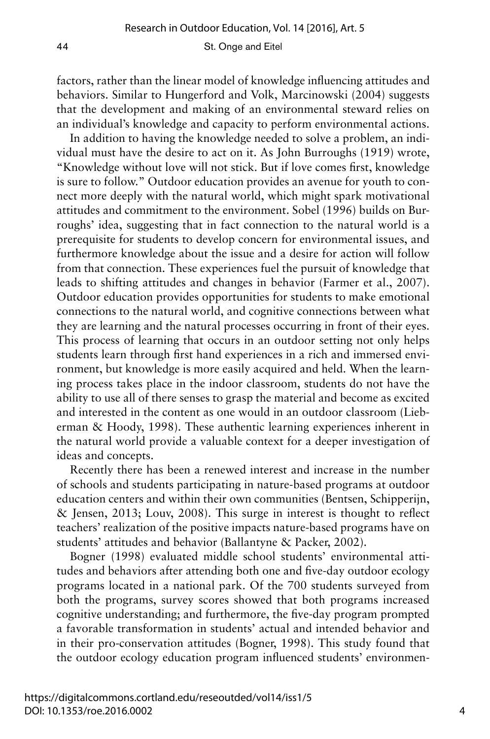factors, rather than the linear model of knowledge influencing attitudes and behaviors. Similar to Hungerford and Volk, Marcinowski (2004) suggests that the development and making of an environmental steward relies on an individual's knowledge and capacity to perform environmental actions.

In addition to having the knowledge needed to solve a problem, an individual must have the desire to act on it. As John Burroughs (1919) wrote, "Knowledge without love will not stick. But if love comes first, knowledge is sure to follow." Outdoor education provides an avenue for youth to connect more deeply with the natural world, which might spark motivational attitudes and commitment to the environment. Sobel (1996) builds on Burroughs' idea, suggesting that in fact connection to the natural world is a prerequisite for students to develop concern for environmental issues, and furthermore knowledge about the issue and a desire for action will follow from that connection. These experiences fuel the pursuit of knowledge that leads to shifting attitudes and changes in behavior (Farmer et al., 2007). Outdoor education provides opportunities for students to make emotional connections to the natural world, and cognitive connections between what they are learning and the natural processes occurring in front of their eyes. This process of learning that occurs in an outdoor setting not only helps students learn through first hand experiences in a rich and immersed environment, but knowledge is more easily acquired and held. When the learning process takes place in the indoor classroom, students do not have the ability to use all of there senses to grasp the material and become as excited and interested in the content as one would in an outdoor classroom (Lieberman & Hoody, 1998). These authentic learning experiences inherent in the natural world provide a valuable context for a deeper investigation of ideas and concepts.

Recently there has been a renewed interest and increase in the number of schools and students participating in nature-based programs at outdoor education centers and within their own communities (Bentsen, Schipperijn, & Jensen, 2013; Louv, 2008). This surge in interest is thought to reflect teachers' realization of the positive impacts nature-based programs have on students' attitudes and behavior (Ballantyne & Packer, 2002).

Bogner (1998) evaluated middle school students' environmental attitudes and behaviors after attending both one and five-day outdoor ecology programs located in a national park. Of the 700 students surveyed from both the programs, survey scores showed that both programs increased cognitive understanding; and furthermore, the five-day program prompted a favorable transformation in students' actual and intended behavior and in their pro-conservation attitudes (Bogner, 1998). This study found that the outdoor ecology education program influenced students' environmen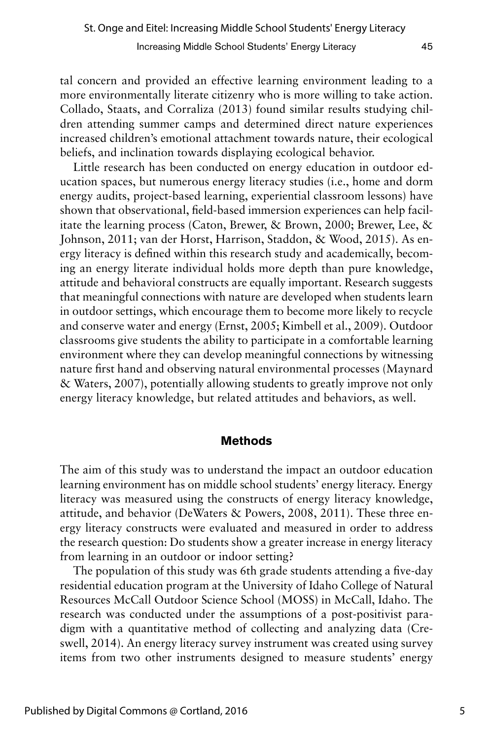tal concern and provided an effective learning environment leading to a more environmentally literate citizenry who is more willing to take action. Collado, Staats, and Corraliza (2013) found similar results studying children attending summer camps and determined direct nature experiences increased children's emotional attachment towards nature, their ecological beliefs, and inclination towards displaying ecological behavior.

Little research has been conducted on energy education in outdoor education spaces, but numerous energy literacy studies (i.e., home and dorm energy audits, project-based learning, experiential classroom lessons) have shown that observational, field-based immersion experiences can help facilitate the learning process (Caton, Brewer, & Brown, 2000; Brewer, Lee, & Johnson, 2011; van der Horst, Harrison, Staddon, & Wood, 2015). As energy literacy is defined within this research study and academically, becoming an energy literate individual holds more depth than pure knowledge, attitude and behavioral constructs are equally important. Research suggests that meaningful connections with nature are developed when students learn in outdoor settings, which encourage them to become more likely to recycle and conserve water and energy (Ernst, 2005; Kimbell et al., 2009). Outdoor classrooms give students the ability to participate in a comfortable learning environment where they can develop meaningful connections by witnessing nature first hand and observing natural environmental processes (Maynard & Waters, 2007), potentially allowing students to greatly improve not only energy literacy knowledge, but related attitudes and behaviors, as well.

## **Methods**

The aim of this study was to understand the impact an outdoor education learning environment has on middle school students' energy literacy. Energy literacy was measured using the constructs of energy literacy knowledge, attitude, and behavior (DeWaters & Powers, 2008, 2011). These three energy literacy constructs were evaluated and measured in order to address the research question: Do students show a greater increase in energy literacy from learning in an outdoor or indoor setting?

The population of this study was 6th grade students attending a five-day residential education program at the University of Idaho College of Natural Resources McCall Outdoor Science School (MOSS) in McCall, Idaho. The research was conducted under the assumptions of a post-positivist paradigm with a quantitative method of collecting and analyzing data (Creswell, 2014). An energy literacy survey instrument was created using survey items from two other instruments designed to measure students' energy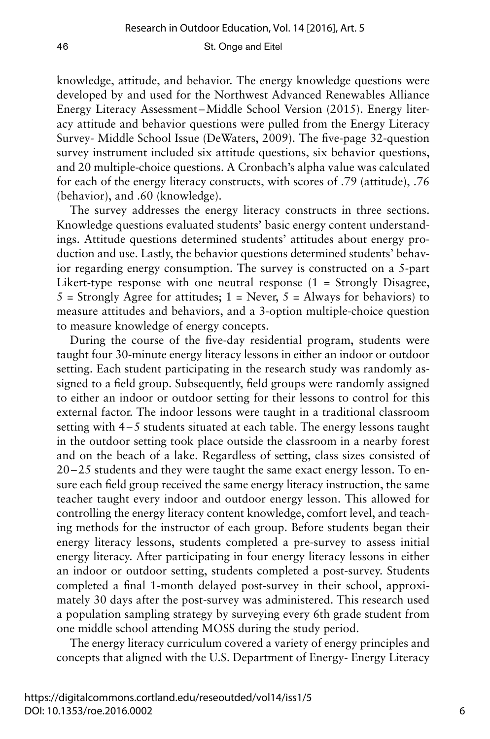knowledge, attitude, and behavior. The energy knowledge questions were developed by and used for the Northwest Advanced Renewables Alliance Energy Literacy Assessment–Middle School Version (2015). Energy literacy attitude and behavior questions were pulled from the Energy Literacy Survey- Middle School Issue (DeWaters, 2009). The five-page 32-question survey instrument included six attitude questions, six behavior questions, and 20 multiple-choice questions. A Cronbach's alpha value was calculated for each of the energy literacy constructs, with scores of .79 (attitude), .76 (behavior), and .60 (knowledge).

The survey addresses the energy literacy constructs in three sections. Knowledge questions evaluated students' basic energy content understandings. Attitude questions determined students' attitudes about energy production and use. Lastly, the behavior questions determined students' behavior regarding energy consumption. The survey is constructed on a 5-part Likert-type response with one neutral response  $(1 -$  Strongly Disagree,  $5 =$  Strongly Agree for attitudes;  $1 =$  Never,  $5 =$  Always for behaviors) to measure attitudes and behaviors, and a 3-option multiple-choice question to measure knowledge of energy concepts.

During the course of the five-day residential program, students were taught four 30-minute energy literacy lessons in either an indoor or outdoor setting. Each student participating in the research study was randomly assigned to a field group. Subsequently, field groups were randomly assigned to either an indoor or outdoor setting for their lessons to control for this external factor. The indoor lessons were taught in a traditional classroom setting with 4–5 students situated at each table. The energy lessons taught in the outdoor setting took place outside the classroom in a nearby forest and on the beach of a lake. Regardless of setting, class sizes consisted of 20–25 students and they were taught the same exact energy lesson. To ensure each field group received the same energy literacy instruction, the same teacher taught every indoor and outdoor energy lesson. This allowed for controlling the energy literacy content knowledge, comfort level, and teaching methods for the instructor of each group. Before students began their energy literacy lessons, students completed a pre-survey to assess initial energy literacy. After participating in four energy literacy lessons in either an indoor or outdoor setting, students completed a post-survey. Students completed a final 1-month delayed post-survey in their school, approximately 30 days after the post-survey was administered. This research used a population sampling strategy by surveying every 6th grade student from one middle school attending MOSS during the study period.

The energy literacy curriculum covered a variety of energy principles and concepts that aligned with the U.S. Department of Energy- Energy Literacy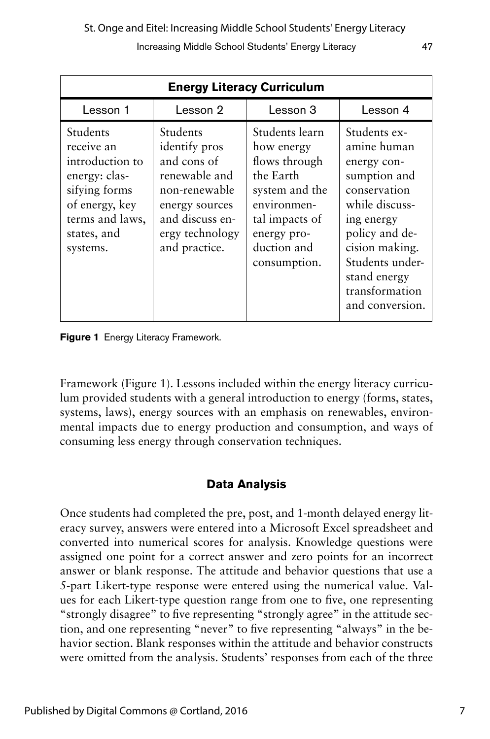| <b>Energy Literacy Curriculum</b>                                                                                                           |                                                                                                                                                     |                                                                                                                                                             |                                                                                                                                                                                                                        |  |  |  |
|---------------------------------------------------------------------------------------------------------------------------------------------|-----------------------------------------------------------------------------------------------------------------------------------------------------|-------------------------------------------------------------------------------------------------------------------------------------------------------------|------------------------------------------------------------------------------------------------------------------------------------------------------------------------------------------------------------------------|--|--|--|
| Lesson 1                                                                                                                                    | Lesson 2                                                                                                                                            | Lesson 3                                                                                                                                                    | Lesson 4                                                                                                                                                                                                               |  |  |  |
| Students<br>receive an<br>introduction to<br>energy: clas-<br>sifying forms<br>of energy, key<br>terms and laws,<br>states, and<br>systems. | Students<br>identify pros<br>and cons of<br>renewable and<br>non-renewable<br>energy sources<br>and discuss en-<br>ergy technology<br>and practice. | Students learn<br>how energy<br>flows through<br>the Earth<br>system and the<br>environmen-<br>tal impacts of<br>energy pro-<br>duction and<br>consumption. | Students ex-<br>amine human<br>energy con-<br>sumption and<br>conservation<br>while discuss-<br>ing energy<br>policy and de-<br>cision making.<br>Students under-<br>stand energy<br>transformation<br>and conversion. |  |  |  |

**Figure 1** Energy Literacy Framework.

Framework (Figure 1). Lessons included within the energy literacy curriculum provided students with a general introduction to energy (forms, states, systems, laws), energy sources with an emphasis on renewables, environmental impacts due to energy production and consumption, and ways of consuming less energy through conservation techniques.

## **Data Analysis**

Once students had completed the pre, post, and 1-month delayed energy literacy survey, answers were entered into a Microsoft Excel spreadsheet and converted into numerical scores for analysis. Knowledge questions were assigned one point for a correct answer and zero points for an incorrect answer or blank response. The attitude and behavior questions that use a 5-part Likert-type response were entered using the numerical value. Values for each Likert-type question range from one to five, one representing "strongly disagree" to five representing "strongly agree" in the attitude section, and one representing "never" to five representing "always" in the behavior section. Blank responses within the attitude and behavior constructs were omitted from the analysis. Students' responses from each of the three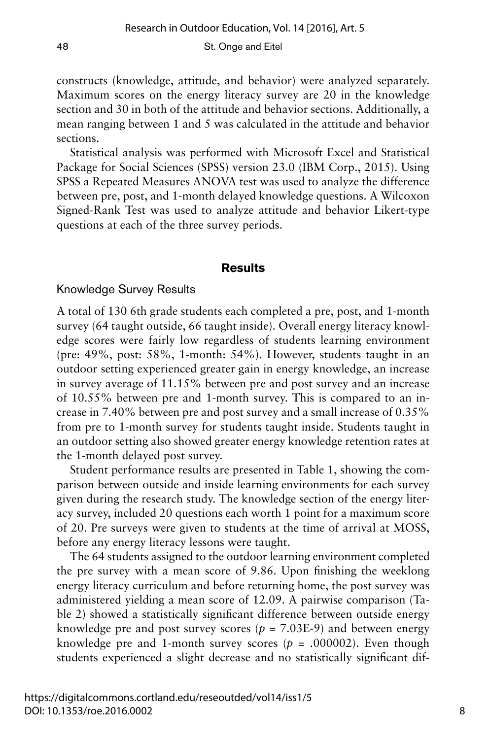constructs (knowledge, attitude, and behavior) were analyzed separately. Maximum scores on the energy literacy survey are 20 in the knowledge section and 30 in both of the attitude and behavior sections. Additionally, a mean ranging between 1 and 5 was calculated in the attitude and behavior sections.

Statistical analysis was performed with Microsoft Excel and Statistical Package for Social Sciences (SPSS) version 23.0 (IBM Corp., 2015). Using SPSS a Repeated Measures ANOVA test was used to analyze the difference between pre, post, and 1-month delayed knowledge questions. A Wilcoxon Signed-Rank Test was used to analyze attitude and behavior Likert-type questions at each of the three survey periods.

#### **Results**

#### Knowledge Survey Results

A total of 130 6th grade students each completed a pre, post, and 1-month survey (64 taught outside, 66 taught inside). Overall energy literacy knowledge scores were fairly low regardless of students learning environment (pre: 49%, post: 58%, 1-month: 54%). However, students taught in an outdoor setting experienced greater gain in energy knowledge, an increase in survey average of 11.15% between pre and post survey and an increase of 10.55% between pre and 1-month survey. This is compared to an increase in 7.40% between pre and post survey and a small increase of 0.35% from pre to 1-month survey for students taught inside. Students taught in an outdoor setting also showed greater energy knowledge retention rates at the 1-month delayed post survey.

Student performance results are presented in Table 1, showing the comparison between outside and inside learning environments for each survey given during the research study. The knowledge section of the energy literacy survey, included 20 questions each worth 1 point for a maximum score of 20. Pre surveys were given to students at the time of arrival at MOSS, before any energy literacy lessons were taught.

The 64 students assigned to the outdoor learning environment completed the pre survey with a mean score of 9.86. Upon finishing the weeklong energy literacy curriculum and before returning home, the post survey was administered yielding a mean score of 12.09. A pairwise comparison (Table 2) showed a statistically significant difference between outside energy knowledge pre and post survey scores  $(p = 7.03E-9)$  and between energy knowledge pre and 1-month survey scores  $(p = .000002)$ . Even though students experienced a slight decrease and no statistically significant dif-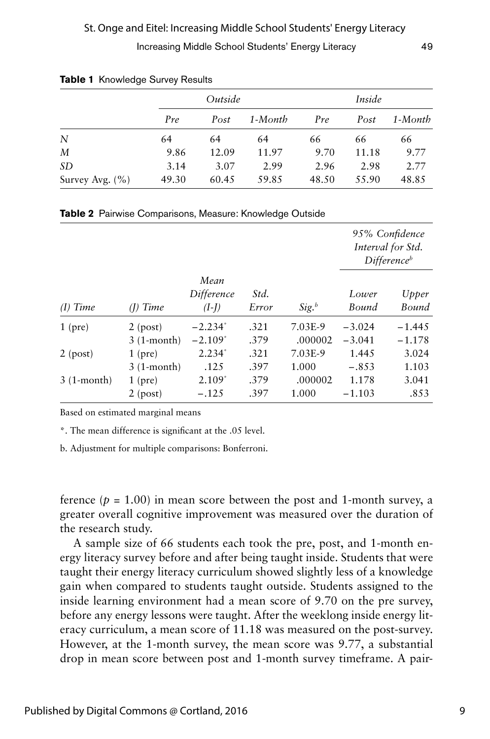|                     |       | Outside |         | Inside |       |         |  |
|---------------------|-------|---------|---------|--------|-------|---------|--|
|                     | Pre   | Post    | 1-Month | Pre    | Post  | 1-Month |  |
| N                   | 64    | 64      | 64      | 66     | 66    | 66      |  |
| М                   | 9.86  | 12.09   | 11.97   | 9.70   | 11.18 | 9.77    |  |
| SD                  | 3.14  | 3.07    | 2.99    | 2.96   | 2.98  | 2.77    |  |
| Survey Avg. $(\% )$ | 49.30 | 60.45   | 59.85   | 48.50  | 55.90 | 48.85   |  |

|  | Table 1 Knowledge Survey Results |  |  |
|--|----------------------------------|--|--|
|--|----------------------------------|--|--|

| Table 2 Pairwise Comparisons, Measure: Knowledge Outside |  |  |  |
|----------------------------------------------------------|--|--|--|
|----------------------------------------------------------|--|--|--|

|              |              |                               |               |                     |                | 95% Confidence<br>Interval for Std.<br>Difference <sup>b</sup> |
|--------------|--------------|-------------------------------|---------------|---------------------|----------------|----------------------------------------------------------------|
| $(I)$ Time   | $(I)$ Time   | Mean<br>Difference<br>$(I-I)$ | Std.<br>Error | $Sig.$ <sup>b</sup> | Lower<br>Bound | Upper<br>Bound                                                 |
| $1$ (pre)    | $2$ (post)   | $-2.234^*$                    | .321          | 7.03E-9             | $-3.024$       | $-1.445$                                                       |
|              | $3(1-month)$ | $-2.109*$                     | .379          | .000002             | $-3.041$       | $-1.178$                                                       |
| $2$ (post)   | $1$ (pre)    | $2.234*$                      | .321          | 7.03E-9             | 1.445          | 3.024                                                          |
|              | $3(1-month)$ | .125                          | .397          | 1.000               | $-.853$        | 1.103                                                          |
| $3(1-month)$ | $1$ (pre)    | $2.109*$                      | .379          | .000002             | 1.178          | 3.041                                                          |
|              | $2$ (post)   | $-.125$                       | .397          | 1.000               | $-1.103$       | .853                                                           |

Based on estimated marginal means

\*. The mean difference is significant at the .05 level.

b. Adjustment for multiple comparisons: Bonferroni.

ference  $(p = 1.00)$  in mean score between the post and 1-month survey, a greater overall cognitive improvement was measured over the duration of the research study.

A sample size of 66 students each took the pre, post, and 1-month energy literacy survey before and after being taught inside. Students that were taught their energy literacy curriculum showed slightly less of a knowledge gain when compared to students taught outside. Students assigned to the inside learning environment had a mean score of 9.70 on the pre survey, before any energy lessons were taught. After the weeklong inside energy literacy curriculum, a mean score of 11.18 was measured on the post-survey. However, at the 1-month survey, the mean score was 9.77, a substantial drop in mean score between post and 1-month survey timeframe. A pair-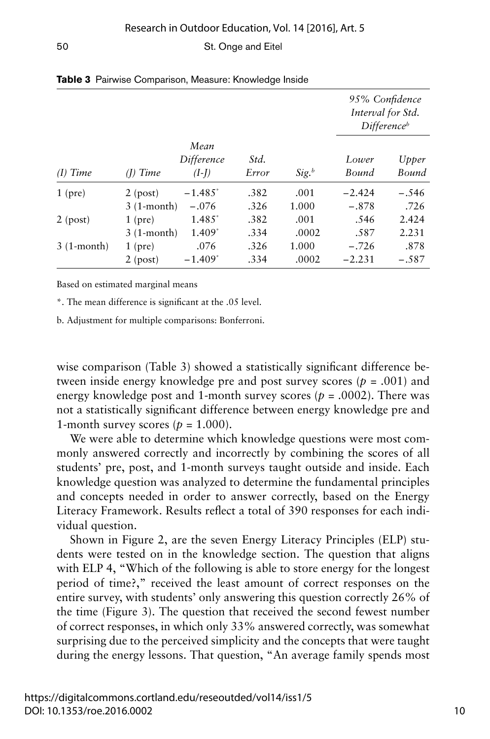|              |              |                               |               |                     | 95% Confidence<br>Interval for Std. | Difference <sup>b</sup> |
|--------------|--------------|-------------------------------|---------------|---------------------|-------------------------------------|-------------------------|
| $(I)$ Time   | (I) Time     | Mean<br>Difference<br>$(I-I)$ | Std.<br>Error | $Sig.$ <sup>b</sup> | Lower<br>Bound                      | Upper<br>Bound          |
| $1$ (pre)    | $2$ (post)   | $-1.485^*$                    | .382          | .001                | $-2.424$                            | $-.546$                 |
|              | $3(1-month)$ | $-.076$                       | .326          | 1.000               | $-.878$                             | .726                    |
| $2$ (post)   | $1$ (pre)    | $1.485*$                      | .382          | .001                | .546                                | 2.424                   |
|              | $3(1-month)$ | $1.409*$                      | .334          | .0002               | .587                                | 2.231                   |
| $3(1-month)$ | $1$ (pre)    | .076                          | .326          | 1.000               | $-.726$                             | .878                    |
|              | $2$ (post)   | $-1.409*$                     | .334          | .0002               | $-2.231$                            | $-.587$                 |

|  |  | Table 3 Pairwise Comparison, Measure: Knowledge Inside |  |  |  |
|--|--|--------------------------------------------------------|--|--|--|
|--|--|--------------------------------------------------------|--|--|--|

Based on estimated marginal means

\*. The mean difference is significant at the .05 level.

b. Adjustment for multiple comparisons: Bonferroni.

wise comparison (Table 3) showed a statistically significant difference between inside energy knowledge pre and post survey scores (*p* = .001) and energy knowledge post and 1-month survey scores ( $p = .0002$ ). There was not a statistically significant difference between energy knowledge pre and 1-month survey scores  $(p = 1.000)$ .

We were able to determine which knowledge questions were most commonly answered correctly and incorrectly by combining the scores of all students' pre, post, and 1-month surveys taught outside and inside. Each knowledge question was analyzed to determine the fundamental principles and concepts needed in order to answer correctly, based on the Energy Literacy Framework. Results reflect a total of 390 responses for each individual question.

Shown in Figure 2, are the seven Energy Literacy Principles (ELP) students were tested on in the knowledge section. The question that aligns with ELP 4, "Which of the following is able to store energy for the longest period of time?," received the least amount of correct responses on the entire survey, with students' only answering this question correctly 26% of the time (Figure 3). The question that received the second fewest number of correct responses, in which only 33% answered correctly, was somewhat surprising due to the perceived simplicity and the concepts that were taught during the energy lessons. That question, "An average family spends most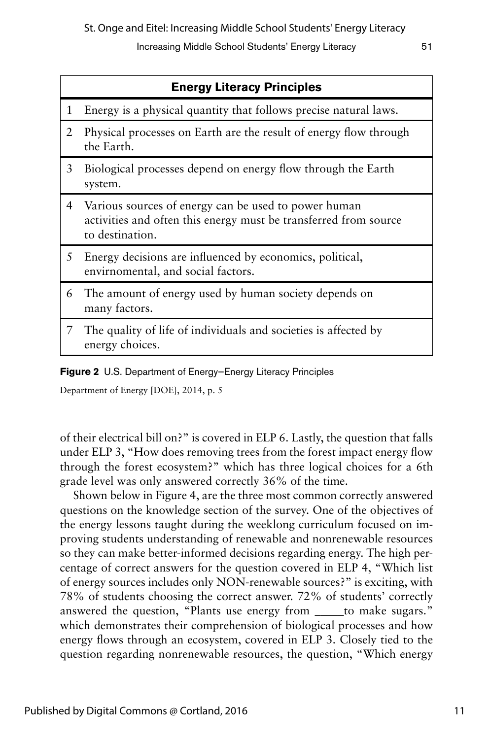St. Onge and Eitel: Increasing Middle School Students' Energy Literacy

Increasing Middle School Students' Energy Literacy 51

|                | <b>Energy Literacy Principles</b>                                                                                                           |  |  |  |  |  |
|----------------|---------------------------------------------------------------------------------------------------------------------------------------------|--|--|--|--|--|
| 1              | Energy is a physical quantity that follows precise natural laws.                                                                            |  |  |  |  |  |
| 2              | Physical processes on Earth are the result of energy flow through<br>the Earth.                                                             |  |  |  |  |  |
| 3              | Biological processes depend on energy flow through the Earth<br>system.                                                                     |  |  |  |  |  |
| $\overline{4}$ | Various sources of energy can be used to power human<br>activities and often this energy must be transferred from source<br>to destination. |  |  |  |  |  |
| 5              | Energy decisions are influenced by economics, political,<br>envirnomental, and social factors.                                              |  |  |  |  |  |
| 6              | The amount of energy used by human society depends on<br>many factors.                                                                      |  |  |  |  |  |
| 7              | The quality of life of individuals and societies is affected by<br>energy choices.                                                          |  |  |  |  |  |
|                |                                                                                                                                             |  |  |  |  |  |

**Figure 2** U.S. Department of Energy—Energy Literacy Principles

Department of Energy [DOE}, 2014, p. 5

of their electrical bill on?" is covered in ELP 6. Lastly, the question that falls under ELP 3, "How does removing trees from the forest impact energy flow through the forest ecosystem?" which has three logical choices for a 6th grade level was only answered correctly 36% of the time.

Shown below in Figure 4, are the three most common correctly answered questions on the knowledge section of the survey. One of the objectives of the energy lessons taught during the weeklong curriculum focused on improving students understanding of renewable and nonrenewable resources so they can make better-informed decisions regarding energy. The high percentage of correct answers for the question covered in ELP 4, "Which list of energy sources includes only NON-renewable sources?" is exciting, with 78% of students choosing the correct answer. 72% of students' correctly answered the question, "Plants use energy from to make sugars." which demonstrates their comprehension of biological processes and how energy flows through an ecosystem, covered in ELP 3. Closely tied to the question regarding nonrenewable resources, the question, "Which energy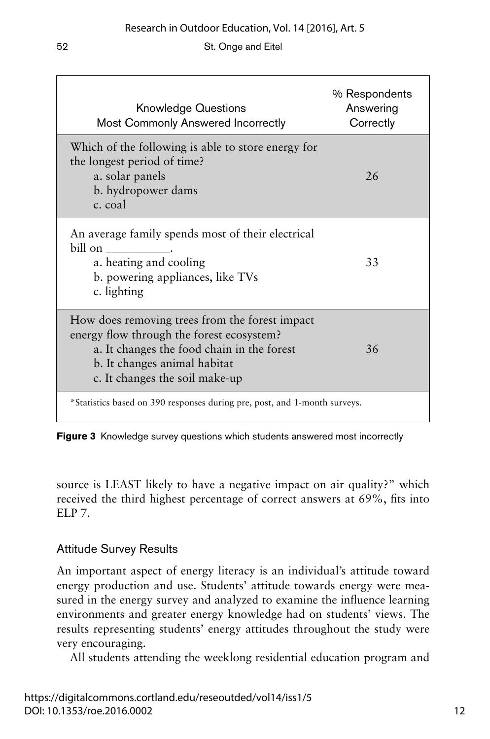| <b>Knowledge Questions</b><br><b>Most Commonly Answered Incorrectly</b>                                                                                                                                     | % Respondents<br>Answering<br>Correctly |
|-------------------------------------------------------------------------------------------------------------------------------------------------------------------------------------------------------------|-----------------------------------------|
| Which of the following is able to store energy for<br>the longest period of time?<br>a. solar panels<br>b. hydropower dams<br>c. coal                                                                       | 26                                      |
| An average family spends most of their electrical<br>$\text{bill on } \_\_\_\_\_\_\$<br>a. heating and cooling<br>b. powering appliances, like TVs<br>c. lighting                                           | 33                                      |
| How does removing trees from the forest impact<br>energy flow through the forest ecosystem?<br>a. It changes the food chain in the forest<br>b. It changes animal habitat<br>c. It changes the soil make-up | 36                                      |
| *Statistics based on 390 responses during pre, post, and 1-month surveys.                                                                                                                                   |                                         |

**Figure 3** Knowledge survey questions which students answered most incorrectly

source is LEAST likely to have a negative impact on air quality?" which received the third highest percentage of correct answers at 69%, fits into ELP 7.

## Attitude Survey Results

An important aspect of energy literacy is an individual's attitude toward energy production and use. Students' attitude towards energy were measured in the energy survey and analyzed to examine the influence learning environments and greater energy knowledge had on students' views. The results representing students' energy attitudes throughout the study were very encouraging.

All students attending the weeklong residential education program and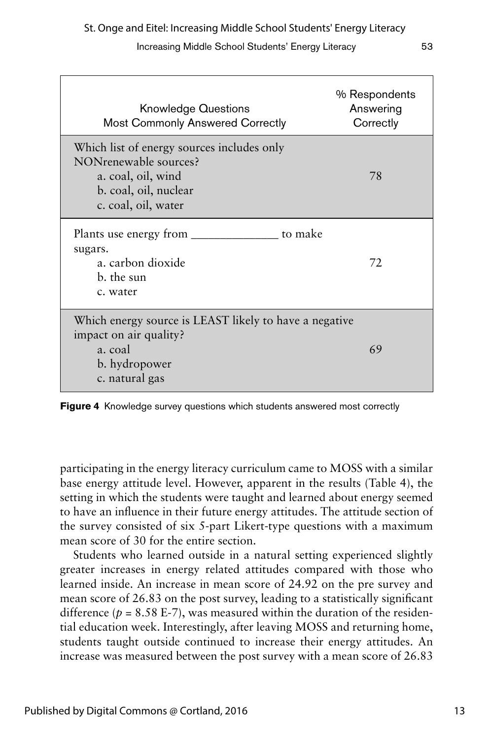| <b>Knowledge Questions</b><br><b>Most Commonly Answered Correctly</b>                                                                     | % Respondents<br>Answering<br>Correctly |
|-------------------------------------------------------------------------------------------------------------------------------------------|-----------------------------------------|
| Which list of energy sources includes only<br>NONrenewable sources?<br>a. coal, oil, wind<br>b. coal, oil, nuclear<br>c. coal, oil, water | 78                                      |
| to make<br>sugars.<br>a. carbon dioxide<br>b. the sun<br>c. water                                                                         | 72                                      |
| Which energy source is LEAST likely to have a negative<br>impact on air quality?<br>a. coal<br>b. hydropower<br>c. natural gas            | 69                                      |

**Figure 4** Knowledge survey questions which students answered most correctly

participating in the energy literacy curriculum came to MOSS with a similar base energy attitude level. However, apparent in the results (Table 4), the setting in which the students were taught and learned about energy seemed to have an influence in their future energy attitudes. The attitude section of the survey consisted of six 5-part Likert-type questions with a maximum mean score of 30 for the entire section.

Students who learned outside in a natural setting experienced slightly greater increases in energy related attitudes compared with those who learned inside. An increase in mean score of 24.92 on the pre survey and mean score of 26.83 on the post survey, leading to a statistically significant difference ( $p = 8.58$  E-7), was measured within the duration of the residential education week. Interestingly, after leaving MOSS and returning home, students taught outside continued to increase their energy attitudes. An increase was measured between the post survey with a mean score of 26.83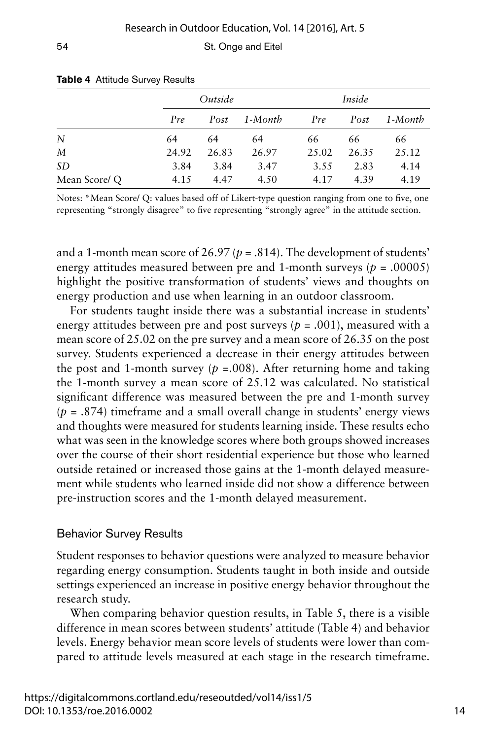|              |       | Outside |         |       | Inside |         |  |
|--------------|-------|---------|---------|-------|--------|---------|--|
|              | Pre   | Post    | 1-Month | Pre   | Post   | 1-Month |  |
| N            | 64    | 64      | 64      | 66    | 66     | 66      |  |
| M            | 24.92 | 26.83   | 26.97   | 25.02 | 26.35  | 25.12   |  |
| SD           | 3.84  | 3.84    | 3.47    | 3.55  | 2.83   | 4.14    |  |
| Mean Score/Q | 4.15  | 4.47    | 4.50    | 4.17  | 4.39   | 4.19    |  |

#### **Table 4** Attitude Survey Results

Notes: \*Mean Score/ Q: values based off of Likert-type question ranging from one to five, one representing "strongly disagree" to five representing "strongly agree" in the attitude section.

and a 1-month mean score of  $26.97 (p = .814)$ . The development of students' energy attitudes measured between pre and 1-month surveys ( $p = .00005$ ) highlight the positive transformation of students' views and thoughts on energy production and use when learning in an outdoor classroom.

For students taught inside there was a substantial increase in students' energy attitudes between pre and post surveys  $(p = .001)$ , measured with a mean score of 25.02 on the pre survey and a mean score of 26.35 on the post survey. Students experienced a decrease in their energy attitudes between the post and 1-month survey ( $p = 0.008$ ). After returning home and taking the 1-month survey a mean score of 25.12 was calculated. No statistical significant difference was measured between the pre and 1-month survey  $(p = .874)$  timeframe and a small overall change in students' energy views and thoughts were measured for students learning inside. These results echo what was seen in the knowledge scores where both groups showed increases over the course of their short residential experience but those who learned outside retained or increased those gains at the 1-month delayed measurement while students who learned inside did not show a difference between pre-instruction scores and the 1-month delayed measurement.

## Behavior Survey Results

Student responses to behavior questions were analyzed to measure behavior regarding energy consumption. Students taught in both inside and outside settings experienced an increase in positive energy behavior throughout the research study.

When comparing behavior question results, in Table 5, there is a visible difference in mean scores between students' attitude (Table 4) and behavior levels. Energy behavior mean score levels of students were lower than compared to attitude levels measured at each stage in the research timeframe.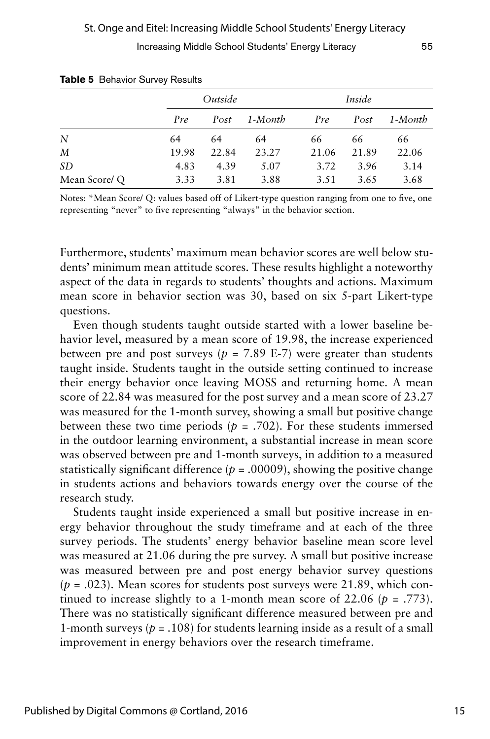|              |       | Outside |         |       | Inside |         |  |
|--------------|-------|---------|---------|-------|--------|---------|--|
|              | Pre   | Post    | 1-Month | Pre   | Post   | 1-Month |  |
| N            | 64    | 64      | 64      | 66    | 66     | 66      |  |
| M            | 19.98 | 22.84   | 23.27   | 21.06 | 21.89  | 22.06   |  |
| <i>SD</i>    | 4.83  | 4.39    | 5.07    | 3.72  | 3.96   | 3.14    |  |
| Mean Score/Q | 3.33  | 3.81    | 3.88    | 3.51  | 3.65   | 3.68    |  |

Notes: \*Mean Score/ Q: values based off of Likert-type question ranging from one to five, one representing "never" to five representing "always" in the behavior section.

Furthermore, students' maximum mean behavior scores are well below students' minimum mean attitude scores. These results highlight a noteworthy aspect of the data in regards to students' thoughts and actions. Maximum mean score in behavior section was 30, based on six 5-part Likert-type questions.

Even though students taught outside started with a lower baseline behavior level, measured by a mean score of 19.98, the increase experienced between pre and post surveys ( $p = 7.89$  E-7) were greater than students taught inside. Students taught in the outside setting continued to increase their energy behavior once leaving MOSS and returning home. A mean score of 22.84 was measured for the post survey and a mean score of 23.27 was measured for the 1-month survey, showing a small but positive change between these two time periods ( $p = .702$ ). For these students immersed in the outdoor learning environment, a substantial increase in mean score was observed between pre and 1-month surveys, in addition to a measured statistically significant difference  $(p = .00009)$ , showing the positive change in students actions and behaviors towards energy over the course of the research study.

Students taught inside experienced a small but positive increase in energy behavior throughout the study timeframe and at each of the three survey periods. The students' energy behavior baseline mean score level was measured at 21.06 during the pre survey. A small but positive increase was measured between pre and post energy behavior survey questions  $(p = .023)$ . Mean scores for students post surveys were 21.89, which continued to increase slightly to a 1-month mean score of  $22.06$  ( $p = .773$ ). There was no statistically significant difference measured between pre and 1-month surveys ( $p = .108$ ) for students learning inside as a result of a small improvement in energy behaviors over the research timeframe.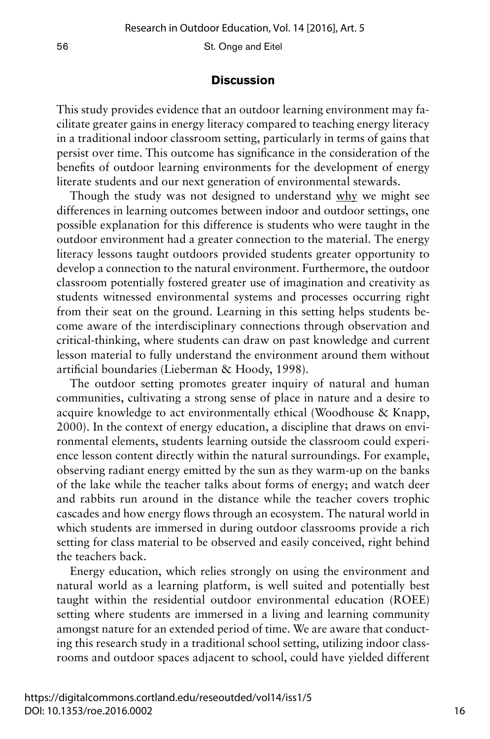### **Discussion**

This study provides evidence that an outdoor learning environment may facilitate greater gains in energy literacy compared to teaching energy literacy in a traditional indoor classroom setting, particularly in terms of gains that persist over time. This outcome has significance in the consideration of the benefits of outdoor learning environments for the development of energy literate students and our next generation of environmental stewards.

Though the study was not designed to understand why we might see differences in learning outcomes between indoor and outdoor settings, one possible explanation for this difference is students who were taught in the outdoor environment had a greater connection to the material. The energy literacy lessons taught outdoors provided students greater opportunity to develop a connection to the natural environment. Furthermore, the outdoor classroom potentially fostered greater use of imagination and creativity as students witnessed environmental systems and processes occurring right from their seat on the ground. Learning in this setting helps students become aware of the interdisciplinary connections through observation and critical-thinking, where students can draw on past knowledge and current lesson material to fully understand the environment around them without artificial boundaries (Lieberman & Hoody, 1998).

The outdoor setting promotes greater inquiry of natural and human communities, cultivating a strong sense of place in nature and a desire to acquire knowledge to act environmentally ethical (Woodhouse & Knapp, 2000). In the context of energy education, a discipline that draws on environmental elements, students learning outside the classroom could experience lesson content directly within the natural surroundings. For example, observing radiant energy emitted by the sun as they warm-up on the banks of the lake while the teacher talks about forms of energy; and watch deer and rabbits run around in the distance while the teacher covers trophic cascades and how energy flows through an ecosystem. The natural world in which students are immersed in during outdoor classrooms provide a rich setting for class material to be observed and easily conceived, right behind the teachers back.

Energy education, which relies strongly on using the environment and natural world as a learning platform, is well suited and potentially best taught within the residential outdoor environmental education (ROEE) setting where students are immersed in a living and learning community amongst nature for an extended period of time. We are aware that conducting this research study in a traditional school setting, utilizing indoor classrooms and outdoor spaces adjacent to school, could have yielded different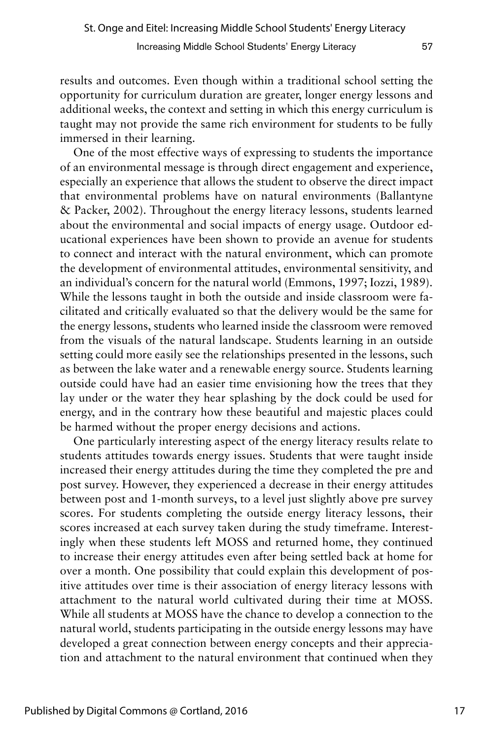results and outcomes. Even though within a traditional school setting the opportunity for curriculum duration are greater, longer energy lessons and additional weeks, the context and setting in which this energy curriculum is taught may not provide the same rich environment for students to be fully immersed in their learning.

One of the most effective ways of expressing to students the importance of an environmental message is through direct engagement and experience, especially an experience that allows the student to observe the direct impact that environmental problems have on natural environments (Ballantyne & Packer, 2002). Throughout the energy literacy lessons, students learned about the environmental and social impacts of energy usage. Outdoor educational experiences have been shown to provide an avenue for students to connect and interact with the natural environment, which can promote the development of environmental attitudes, environmental sensitivity, and an individual's concern for the natural world (Emmons, 1997; Iozzi, 1989). While the lessons taught in both the outside and inside classroom were facilitated and critically evaluated so that the delivery would be the same for the energy lessons, students who learned inside the classroom were removed from the visuals of the natural landscape. Students learning in an outside setting could more easily see the relationships presented in the lessons, such as between the lake water and a renewable energy source. Students learning outside could have had an easier time envisioning how the trees that they lay under or the water they hear splashing by the dock could be used for energy, and in the contrary how these beautiful and majestic places could be harmed without the proper energy decisions and actions.

One particularly interesting aspect of the energy literacy results relate to students attitudes towards energy issues. Students that were taught inside increased their energy attitudes during the time they completed the pre and post survey. However, they experienced a decrease in their energy attitudes between post and 1-month surveys, to a level just slightly above pre survey scores. For students completing the outside energy literacy lessons, their scores increased at each survey taken during the study timeframe. Interestingly when these students left MOSS and returned home, they continued to increase their energy attitudes even after being settled back at home for over a month. One possibility that could explain this development of positive attitudes over time is their association of energy literacy lessons with attachment to the natural world cultivated during their time at MOSS. While all students at MOSS have the chance to develop a connection to the natural world, students participating in the outside energy lessons may have developed a great connection between energy concepts and their appreciation and attachment to the natural environment that continued when they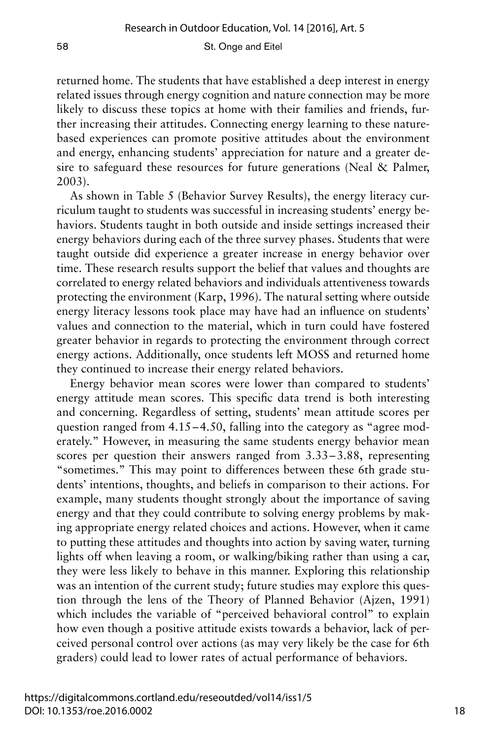returned home. The students that have established a deep interest in energy related issues through energy cognition and nature connection may be more likely to discuss these topics at home with their families and friends, further increasing their attitudes. Connecting energy learning to these naturebased experiences can promote positive attitudes about the environment and energy, enhancing students' appreciation for nature and a greater desire to safeguard these resources for future generations (Neal & Palmer, 2003).

As shown in Table 5 (Behavior Survey Results), the energy literacy curriculum taught to students was successful in increasing students' energy behaviors. Students taught in both outside and inside settings increased their energy behaviors during each of the three survey phases. Students that were taught outside did experience a greater increase in energy behavior over time. These research results support the belief that values and thoughts are correlated to energy related behaviors and individuals attentiveness towards protecting the environment (Karp, 1996). The natural setting where outside energy literacy lessons took place may have had an influence on students' values and connection to the material, which in turn could have fostered greater behavior in regards to protecting the environment through correct energy actions. Additionally, once students left MOSS and returned home they continued to increase their energy related behaviors.

Energy behavior mean scores were lower than compared to students' energy attitude mean scores. This specific data trend is both interesting and concerning. Regardless of setting, students' mean attitude scores per question ranged from 4.15–4.50, falling into the category as "agree moderately." However, in measuring the same students energy behavior mean scores per question their answers ranged from 3.33–3.88, representing "sometimes." This may point to differences between these 6th grade students' intentions, thoughts, and beliefs in comparison to their actions. For example, many students thought strongly about the importance of saving energy and that they could contribute to solving energy problems by making appropriate energy related choices and actions. However, when it came to putting these attitudes and thoughts into action by saving water, turning lights off when leaving a room, or walking/biking rather than using a car, they were less likely to behave in this manner. Exploring this relationship was an intention of the current study; future studies may explore this question through the lens of the Theory of Planned Behavior (Ajzen, 1991) which includes the variable of "perceived behavioral control" to explain how even though a positive attitude exists towards a behavior, lack of perceived personal control over actions (as may very likely be the case for 6th graders) could lead to lower rates of actual performance of behaviors.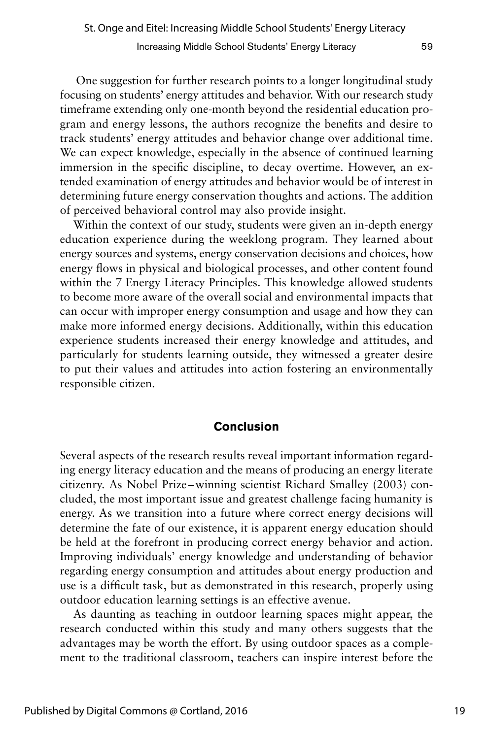One suggestion for further research points to a longer longitudinal study focusing on students' energy attitudes and behavior. With our research study timeframe extending only one-month beyond the residential education program and energy lessons, the authors recognize the benefits and desire to track students' energy attitudes and behavior change over additional time. We can expect knowledge, especially in the absence of continued learning immersion in the specific discipline, to decay overtime. However, an extended examination of energy attitudes and behavior would be of interest in determining future energy conservation thoughts and actions. The addition of perceived behavioral control may also provide insight.

Within the context of our study, students were given an in-depth energy education experience during the weeklong program. They learned about energy sources and systems, energy conservation decisions and choices, how energy flows in physical and biological processes, and other content found within the 7 Energy Literacy Principles. This knowledge allowed students to become more aware of the overall social and environmental impacts that can occur with improper energy consumption and usage and how they can make more informed energy decisions. Additionally, within this education experience students increased their energy knowledge and attitudes, and particularly for students learning outside, they witnessed a greater desire to put their values and attitudes into action fostering an environmentally responsible citizen.

## **Conclusion**

Several aspects of the research results reveal important information regarding energy literacy education and the means of producing an energy literate citizenry. As Nobel Prize–winning scientist Richard Smalley (2003) concluded, the most important issue and greatest challenge facing humanity is energy. As we transition into a future where correct energy decisions will determine the fate of our existence, it is apparent energy education should be held at the forefront in producing correct energy behavior and action. Improving individuals' energy knowledge and understanding of behavior regarding energy consumption and attitudes about energy production and use is a difficult task, but as demonstrated in this research, properly using outdoor education learning settings is an effective avenue.

As daunting as teaching in outdoor learning spaces might appear, the research conducted within this study and many others suggests that the advantages may be worth the effort. By using outdoor spaces as a complement to the traditional classroom, teachers can inspire interest before the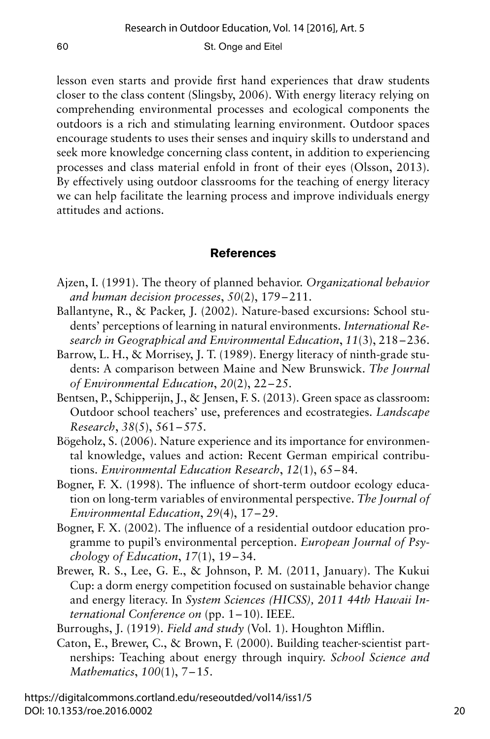lesson even starts and provide first hand experiences that draw students closer to the class content (Slingsby, 2006). With energy literacy relying on comprehending environmental processes and ecological components the outdoors is a rich and stimulating learning environment. Outdoor spaces encourage students to uses their senses and inquiry skills to understand and seek more knowledge concerning class content, in addition to experiencing processes and class material enfold in front of their eyes (Olsson, 2013). By effectively using outdoor classrooms for the teaching of energy literacy we can help facilitate the learning process and improve individuals energy attitudes and actions.

## **References**

- Ajzen, I. (1991). The theory of planned behavior. *Organizational behavior and human decision processes*, *50*(2), 179–211.
- Ballantyne, R., & Packer, J. (2002). Nature-based excursions: School students' perceptions of learning in natural environments. *International Research in Geographical and Environmental Education*, *11*(3), 218–236.
- Barrow, L. H., & Morrisey, J. T. (1989). Energy literacy of ninth-grade students: A comparison between Maine and New Brunswick. *The Journal of Environmental Education*, *20*(2), 22–25.
- Bentsen, P., Schipperijn, J., & Jensen, F. S. (2013). Green space as classroom: Outdoor school teachers' use, preferences and ecostrategies. *Landscape Research*, *38*(5), 561–575.
- Bögeholz, S. (2006). Nature experience and its importance for environmental knowledge, values and action: Recent German empirical contributions. *Environmental Education Research*, *12*(1), 65–84.
- Bogner, F. X. (1998). The influence of short-term outdoor ecology education on long-term variables of environmental perspective. *The Journal of Environmental Education*, *29*(4), 17–29.
- Bogner, F. X. (2002). The influence of a residential outdoor education programme to pupil's environmental perception. *European Journal of Psychology of Education*, *17*(1), 19–34.
- Brewer, R. S., Lee, G. E., & Johnson, P. M. (2011, January). The Kukui Cup: a dorm energy competition focused on sustainable behavior change and energy literacy. In *System Sciences (HICSS), 2011 44th Hawaii International Conference on* (pp. 1–10). IEEE.

Burroughs, J. (1919). *Field and study* (Vol. 1). Houghton Mifflin.

Caton, E., Brewer, C., & Brown, F. (2000). Building teacher-scientist partnerships: Teaching about energy through inquiry. *School Science and Mathematics*, *100*(1), 7–15.

https://digitalcommons.cortland.edu/reseoutded/vol14/iss1/5 DOI: 10.1353/roe.2016.0002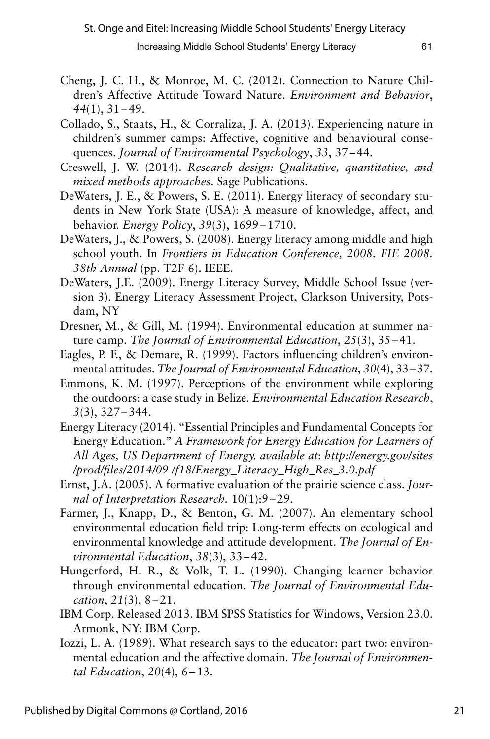- Cheng, J. C. H., & Monroe, M. C. (2012). Connection to Nature Children's Affective Attitude Toward Nature. *Environment and Behavior*, *44*(1), 31–49.
- Collado, S., Staats, H., & Corraliza, J. A. (2013). Experiencing nature in children's summer camps: Affective, cognitive and behavioural consequences. *Journal of Environmental Psychology*, *33*, 37–44.
- Creswell, J. W. (2014). *Research design: Qualitative, quantitative, and mixed methods approaches*. Sage Publications.
- DeWaters, J. E., & Powers, S. E. (2011). Energy literacy of secondary students in New York State (USA): A measure of knowledge, affect, and behavior. *Energy Policy*, *39*(3), 1699–1710.
- DeWaters, J., & Powers, S. (2008). Energy literacy among middle and high school youth. In *Frontiers in Education Conference, 2008. FIE 2008. 38th Annual* (pp. T2F-6). IEEE.
- DeWaters, J.E. (2009). Energy Literacy Survey, Middle School Issue (version 3). Energy Literacy Assessment Project, Clarkson University, Potsdam, NY
- Dresner, M., & Gill, M. (1994). Environmental education at summer nature camp. *The Journal of Environmental Education*, *25*(3), 35–41.
- Eagles, P. F., & Demare, R. (1999). Factors influencing children's environmental attitudes. *The Journal of Environmental Education*, *30*(4), 33–37.
- Emmons, K. M. (1997). Perceptions of the environment while exploring the outdoors: a case study in Belize. *Environmental Education Research*, *3*(3), 327–344.
- Energy Literacy (2014). "Essential Principles and Fundamental Concepts for Energy Education." *A Framework for Energy Education for Learners of All Ages, US Department of Energy. available at*: *http://energy.gov/sites /prod/files/2014/09 /f18/Energy\_Literacy\_High\_Res\_3.0.pdf*
- Ernst, J.A. (2005). A formative evaluation of the prairie science class. *Journal of Interpretation Research.* 10(1):9–29.
- Farmer, J., Knapp, D., & Benton, G. M. (2007). An elementary school environmental education field trip: Long-term effects on ecological and environmental knowledge and attitude development. *The Journal of Environmental Education*, *38*(3), 33–42.
- Hungerford, H. R., & Volk, T. L. (1990). Changing learner behavior through environmental education. *The Journal of Environmental Education*, *21*(3), 8–21.
- IBM Corp. Released 2013. IBM SPSS Statistics for Windows, Version 23.0. Armonk, NY: IBM Corp.
- Iozzi, L. A. (1989). What research says to the educator: part two: environmental education and the affective domain. *The Journal of Environmental Education*, *20*(4), 6–13.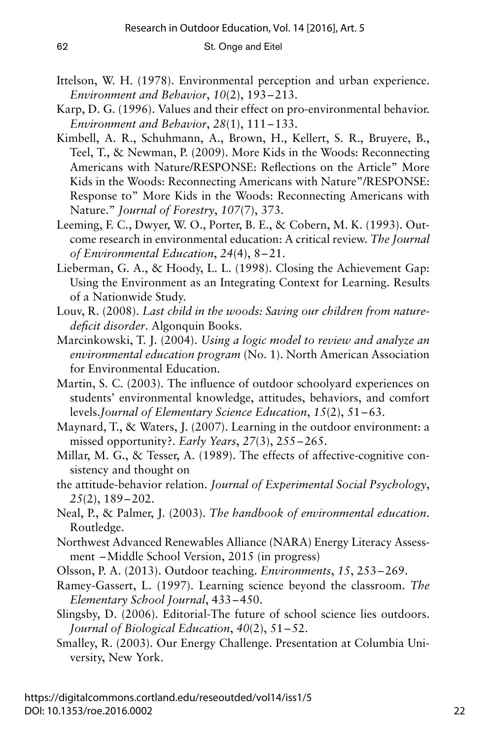- Ittelson, W. H. (1978). Environmental perception and urban experience. *Environment and Behavior*, *10*(2), 193–213.
- Karp, D. G. (1996). Values and their effect on pro-environmental behavior. *Environment and Behavior*, *28*(1), 111–133.
- Kimbell, A. R., Schuhmann, A., Brown, H., Kellert, S. R., Bruyere, B., Teel, T., & Newman, P. (2009). More Kids in the Woods: Reconnecting Americans with Nature/RESPONSE: Reflections on the Article" More Kids in the Woods: Reconnecting Americans with Nature"/RESPONSE: Response to" More Kids in the Woods: Reconnecting Americans with Nature." *Journal of Forestry*, *107*(7), 373.
- Leeming, F. C., Dwyer, W. O., Porter, B. E., & Cobern, M. K. (1993). Outcome research in environmental education: A critical review. *The Journal of Environmental Education*, *24*(4), 8–21.
- Lieberman, G. A., & Hoody, L. L. (1998). Closing the Achievement Gap: Using the Environment as an Integrating Context for Learning. Results of a Nationwide Study.
- Louv, R. (2008). *Last child in the woods: Saving our children from naturedeficit disorder*. Algonquin Books.
- Marcinkowski, T. J. (2004). *Using a logic model to review and analyze an environmental education program* (No. 1). North American Association for Environmental Education.
- Martin, S. C. (2003). The influence of outdoor schoolyard experiences on students' environmental knowledge, attitudes, behaviors, and comfort levels.*Journal of Elementary Science Education*, *15*(2), 51–63.
- Maynard, T., & Waters, J. (2007). Learning in the outdoor environment: a missed opportunity?. *Early Years*, *27*(3), 255–265.
- Millar, M. G., & Tesser, A. (1989). The effects of affective-cognitive consistency and thought on
- the attitude-behavior relation. *Journal of Experimental Social Psychology*, *25*(2), 189–202.
- Neal, P., & Palmer, J. (2003). *The handbook of environmental education*. Routledge.
- Northwest Advanced Renewables Alliance (NARA) Energy Literacy Assessment –Middle School Version, 2015 (in progress)
- Olsson, P. A. (2013). Outdoor teaching. *Environments*, *15*, 253–269.
- Ramey-Gassert, L. (1997). Learning science beyond the classroom. *The Elementary School Journal*, 433–450.
- Slingsby, D. (2006). Editorial-The future of school science lies outdoors. *Journal of Biological Education*, *40*(2), 51–52.
- Smalley, R. (2003). Our Energy Challenge. Presentation at Columbia University, New York.